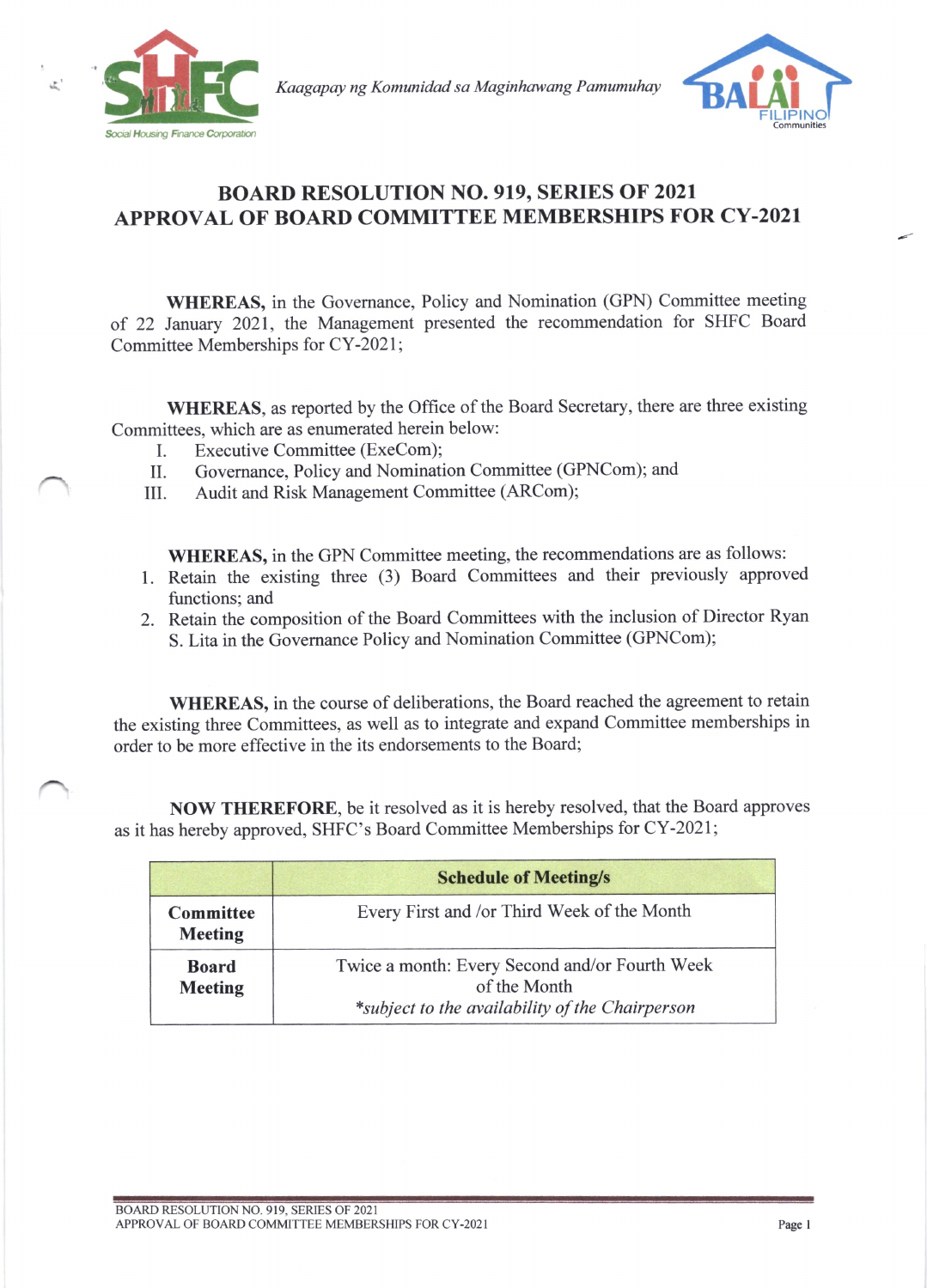

Kaagapay ng Komunidad sa Maginhawang Pamumuhay



## BOARD RESOLUTION NO. 919, SERIES OF 2021 APPROVAL OF BOARD COMMITTEE MEMBERSHIPS FOR CY-202I

WHEREAS, in the Governance, Policy and Nomination (GPN) Committee meeting of 22 January 2021, the Management presented the recommendation for SHFC Board Committee Memberships for CY -2021 ;

WHEREAS, as reported by the Office of the Board Secretary, there are three existing Committees, which are as enumerated herein below:

- I. Executive Committee (ExeCom);<br>II. Governance, Policy and Nominati
- II. Governance, Policy and Nomination Committee (GPNCom); and III. Audit and Risk Management Committee (ARCom);
- Audit and Risk Management Committee (ARCom);

WHEREAS, in the GPN Committee meeting, the recommendations are as follows:

- 1. Retain the existing three (3) Board Committees and their previously approved functions; and
- 2. Retain the composition of the Board Committees with the inclusion of Director Ryan S. Lita in the Governance Policy and Nomination Committee (GPNCom);

WHEREAS, in the course of deliberations, the Board reached the agreement to retain the existing three Committees, as well as to integrate and expand Committee memberships in order to be more effective in the its endorsements to the Board;

NOW THEREFORE, be it resolved as it is hereby resolved, that the Board approves as it has hereby approved, SHFC's Board Committee Memberships for CY-2021;

|                                | <b>Schedule of Meeting/s</b>                                                                                      |  |  |
|--------------------------------|-------------------------------------------------------------------------------------------------------------------|--|--|
| Committee<br><b>Meeting</b>    | Every First and /or Third Week of the Month                                                                       |  |  |
| <b>Board</b><br><b>Meeting</b> | Twice a month: Every Second and/or Fourth Week<br>of the Month<br>*subject to the availability of the Chairperson |  |  |